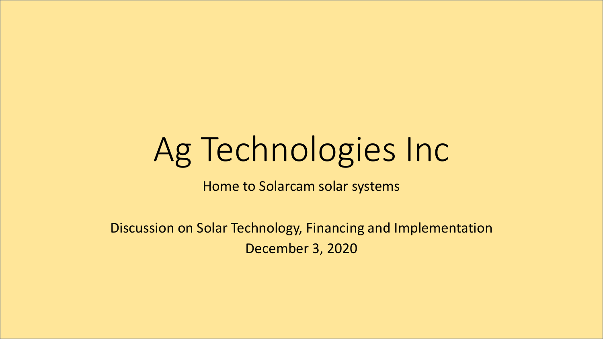# Ag Technologies Inc

Home to Solarcam solar systems

Discussion on Solar Technology, Financing and Implementation December 3, 2020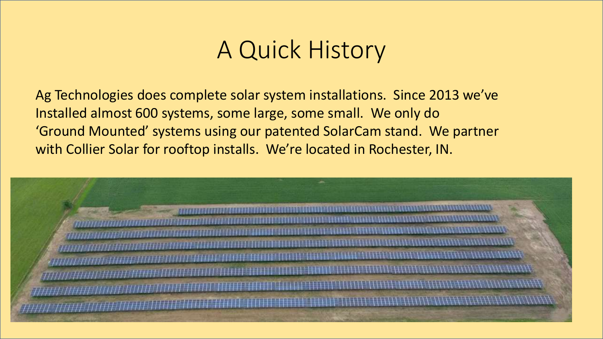#### A Quick History

Ag Technologies does complete solar system installations. Since 2013 we've Installed almost 600 systems, some large, some small. We only do 'Ground Mounted' systems using our patented SolarCam stand. We partner with Collier Solar for rooftop installs. We're located in Rochester, IN.

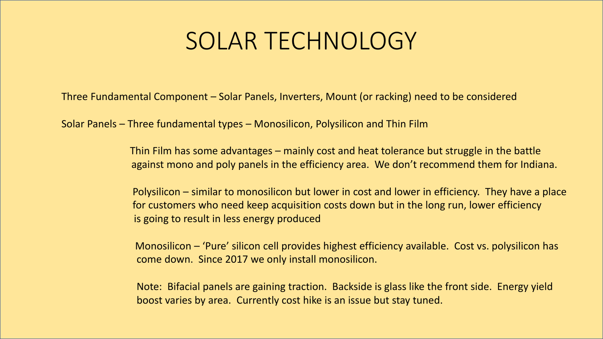#### SOLAR TECHNOLOGY

Three Fundamental Component – Solar Panels, Inverters, Mount (or racking) need to be considered

Solar Panels – Three fundamental types – Monosilicon, Polysilicon and Thin Film

Thin Film has some advantages – mainly cost and heat tolerance but struggle in the battle against mono and poly panels in the efficiency area. We don't recommend them for Indiana.

Polysilicon – similar to monosilicon but lower in cost and lower in efficiency. They have a place for customers who need keep acquisition costs down but in the long run, lower efficiency is going to result in less energy produced

Monosilicon – 'Pure' silicon cell provides highest efficiency available. Cost vs. polysilicon has come down. Since 2017 we only install monosilicon.

Note: Bifacial panels are gaining traction. Backside is glass like the front side. Energy yield boost varies by area. Currently cost hike is an issue but stay tuned.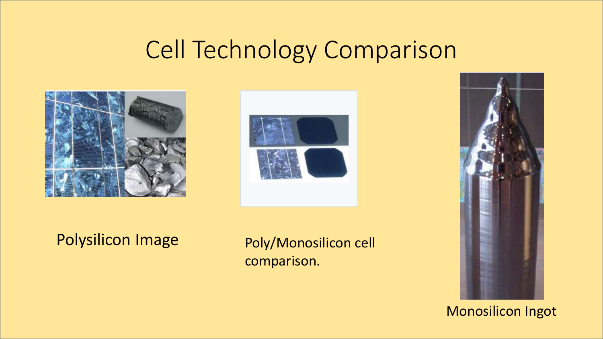## Cell Technology Comparison







#### Monosilicon Ingot

#### Polysilicon Image Poly/Monosilicon cell

comparison.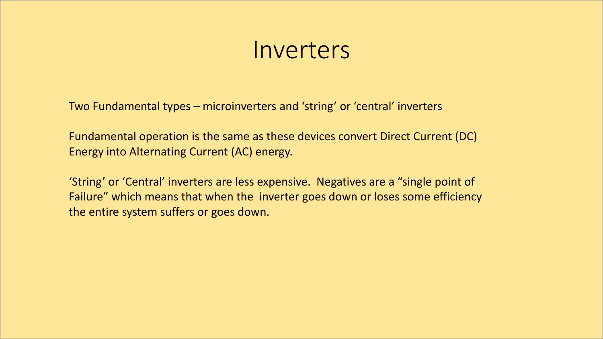#### Inverters

Two Fundamental types – microinverters and 'string' or 'central' inverters

Fundamental operation is the same as these devices convert Direct Current (DC) Energy into Alternating Current (AC) energy.

'String' or 'Central' inverters are less expensive. Negatives are a "single point of Failure" which means that when the inverter goes down or loses some efficiency the entire system suffers or goes down.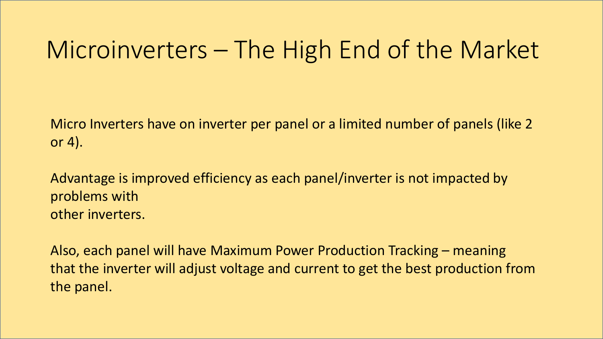#### Microinverters – The High End of the Market

Micro Inverters have on inverter per panel or a limited number of panels (like 2 or 4).

Advantage is improved efficiency as each panel/inverter is not impacted by problems with other inverters.

Also, each panel will have Maximum Power Production Tracking – meaning that the inverter will adjust voltage and current to get the best production from the panel.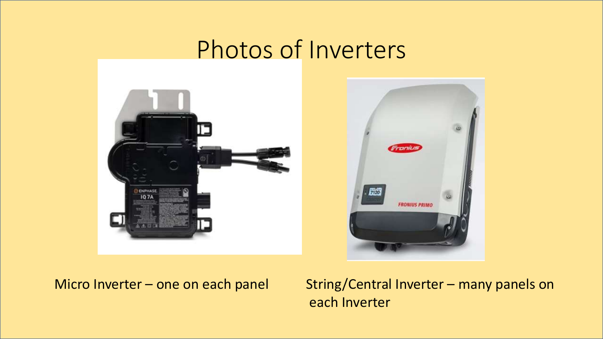#### Photos of Inverters





Micro Inverter – one on each panel String/Central Inverter – many panels on each Inverter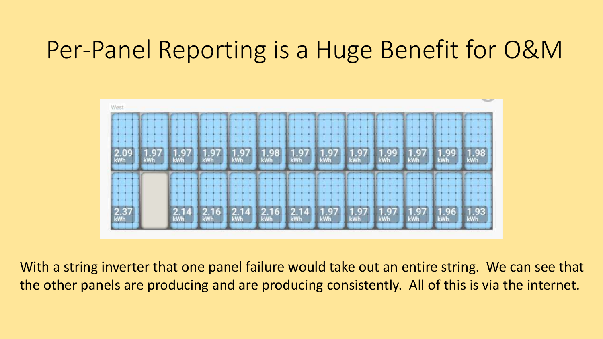## Per-Panel Reporting is a Huge Benefit for O&M



With a string inverter that one panel failure would take out an entire string. We can see that the other panels are producing and are producing consistently. All of this is via the internet.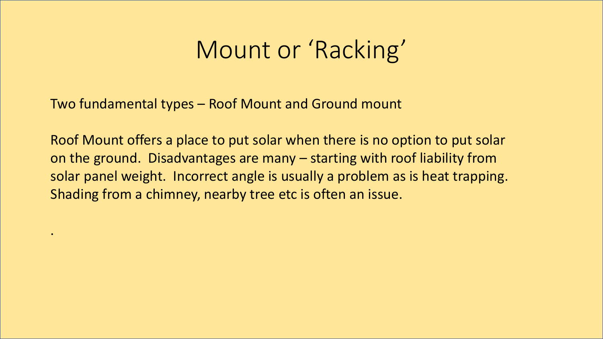### Mount or 'Racking'

Two fundamental types – Roof Mount and Ground mount

.

Roof Mount offers a place to put solar when there is no option to put solar on the ground. Disadvantages are many – starting with roof liability from solar panel weight. Incorrect angle is usually a problem as is heat trapping. Shading from a chimney, nearby tree etc is often an issue.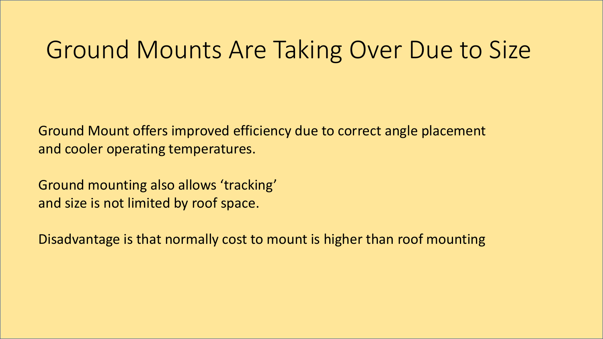#### Ground Mounts Are Taking Over Due to Size

Ground Mount offers improved efficiency due to correct angle placement and cooler operating temperatures.

Ground mounting also allows 'tracking' and size is not limited by roof space.

Disadvantage is that normally cost to mount is higher than roof mounting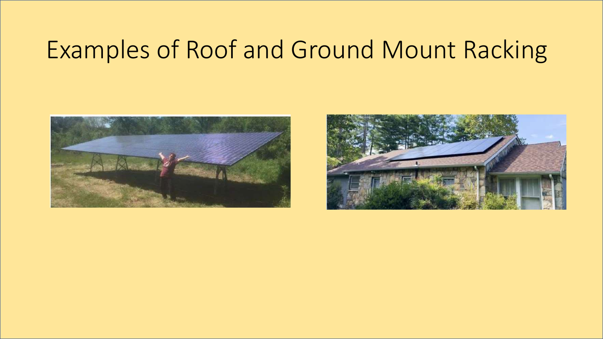## Examples of Roof and Ground Mount Racking



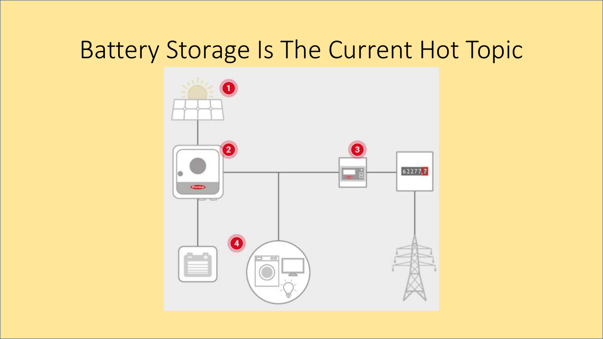#### Battery Storage Is The Current Hot Topic

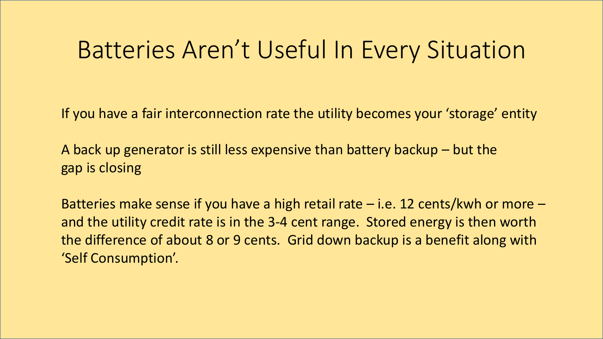#### Batteries Aren't Useful In Every Situation

If you have a fair interconnection rate the utility becomes your 'storage' entity

A back up generator is still less expensive than battery backup – but the gap is closing

Batteries make sense if you have a high retail rate – i.e. 12 cents/kwh or more – and the utility credit rate is in the 3-4 cent range. Stored energy is then worth the difference of about 8 or 9 cents. Grid down backup is a benefit along with 'Self Consumption'.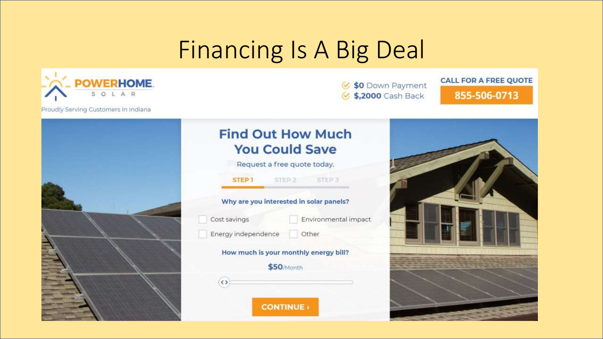## Financing Is A Big Deal



**≤ \$0** Down Payment **√ \$,2000** Cash Back

#### **CALL FOR A FREE QUOTE** 855-506-0713



#### **Find Out How Much You Could Save**

Request a free quote today.

STEP<sub>1</sub> STEP<sub>3</sub> STEP<sub>2</sub>

#### Why are you interested in solar panels?

Cost savings Environmental impact Energy independence

Other

#### How much is your monthly energy bill?

**CONTINUE** 



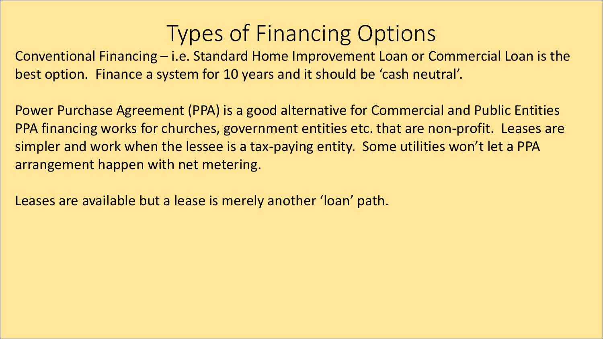#### Types of Financing Options

Conventional Financing – i.e. Standard Home Improvement Loan or Commercial Loan is the best option. Finance a system for 10 years and it should be 'cash neutral'.

Power Purchase Agreement (PPA) is a good alternative for Commercial and Public Entities PPA financing works for churches, government entities etc. that are non-profit. Leases are simpler and work when the lessee is a tax-paying entity. Some utilities won't let a PPA arrangement happen with net metering.

Leases are available but a lease is merely another 'loan' path.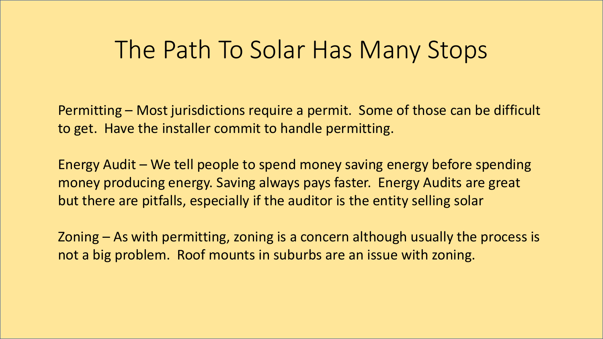#### The Path To Solar Has Many Stops

Permitting – Most jurisdictions require a permit. Some of those can be difficult to get. Have the installer commit to handle permitting.

Energy Audit – We tell people to spend money saving energy before spending money producing energy. Saving always pays faster. Energy Audits are great but there are pitfalls, especially if the auditor is the entity selling solar

Zoning – As with permitting, zoning is a concern although usually the process is not a big problem. Roof mounts in suburbs are an issue with zoning.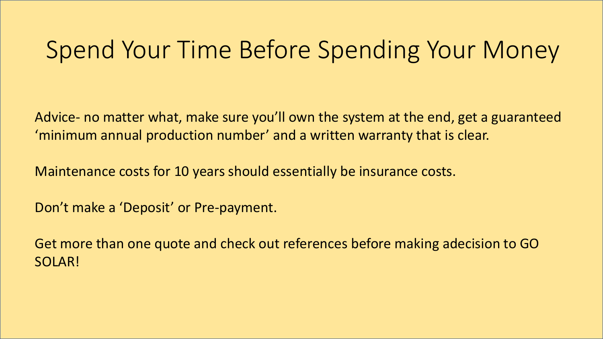### Spend Your Time Before Spending Your Money

Advice- no matter what, make sure you'll own the system at the end, get a guaranteed 'minimum annual production number' and a written warranty that is clear.

Maintenance costs for 10 years should essentially be insurance costs.

Don't make a 'Deposit' or Pre-payment.

Get more than one quote and check out references before making adecision to GO SOLAR!